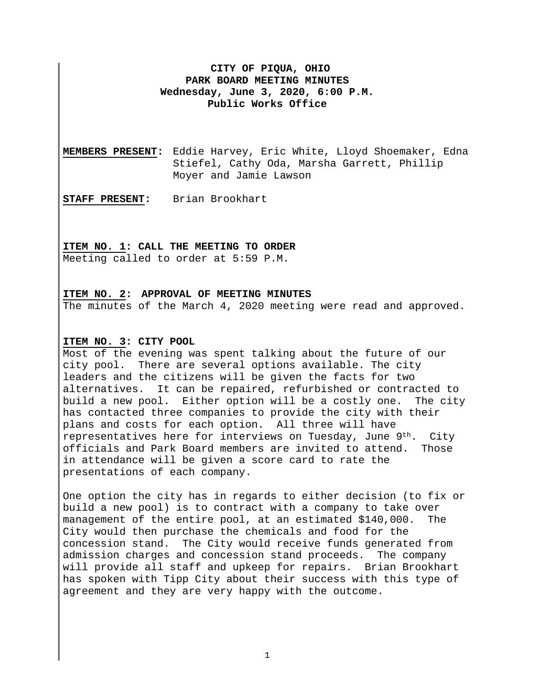# **CITY OF PIQUA, OHIO PARK BOARD MEETING MINUTES Wednesday, June 3, 2020, 6:00 P.M. Public Works Office**

**MEMBERS PRESENT:** Eddie Harvey, Eric White, Lloyd Shoemaker, Edna Stiefel, Cathy Oda, Marsha Garrett, Phillip Moyer and Jamie Lawson

**STAFF PRESENT:** Brian Brookhart

### **ITEM NO. 1: CALL THE MEETING TO ORDER**

Meeting called to order at 5:59 P.M.

#### **ITEM NO. 2: APPROVAL OF MEETING MINUTES**

The minutes of the March 4, 2020 meeting were read and approved.

### **ITEM NO. 3: CITY POOL**

Most of the evening was spent talking about the future of our city pool. There are several options available. The city leaders and the citizens will be given the facts for two alternatives. It can be repaired, refurbished or contracted to build a new pool. Either option will be a costly one. The city has contacted three companies to provide the city with their plans and costs for each option. All three will have representatives here for interviews on Tuesday, June 9th. City officials and Park Board members are invited to attend. Those in attendance will be given a score card to rate the presentations of each company.

One option the city has in regards to either decision (to fix or build a new pool) is to contract with a company to take over management of the entire pool, at an estimated \$140,000. The City would then purchase the chemicals and food for the concession stand. The City would receive funds generated from admission charges and concession stand proceeds. The company will provide all staff and upkeep for repairs. Brian Brookhart has spoken with Tipp City about their success with this type of agreement and they are very happy with the outcome.